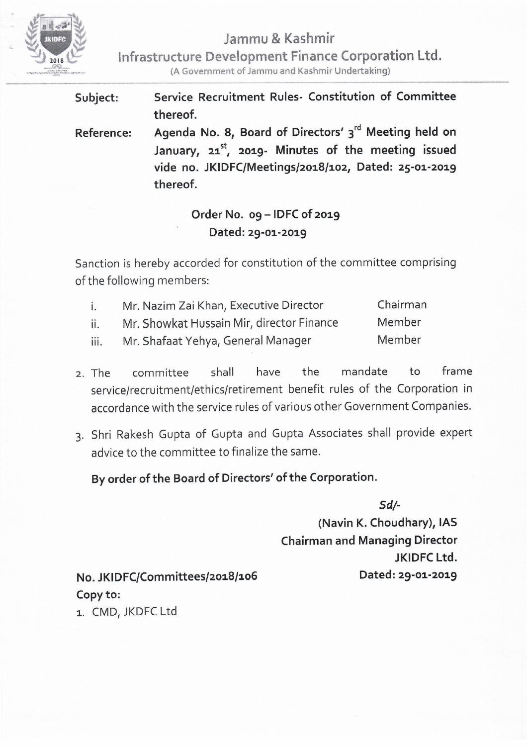

**Jammu & Kashmir** 

**Infrastructure Development Finance Corporation Ltd.**  ------------ - -- -

(A Government of Jammu and Kashmir Undertaking}

| Subject:          | Service Recruitment Rules- Constitution of Committee     |
|-------------------|----------------------------------------------------------|
|                   | thereof.                                                 |
| <b>Reference:</b> | Agenda No. 8, Board of Directors' 3rd Meeting held on    |
|                   | January, $21^{st}$ , 2019- Minutes of the meeting issued |
|                   | vide no. JKIDFC/Meetings/2018/102, Dated: 25-01-2019     |
|                   | thereof.                                                 |

## **Order No. 09 - IDFC of 2019 Dated: 29-01-2019**

Sanction is hereby accorded for constitution of the committee comprising of the following members:

| $\mathbf{i}$ . | Mr. Nazim Zai Khan, Executive Director    | Chairman |
|----------------|-------------------------------------------|----------|
| ii.            | Mr. Showkat Hussain Mir, director Finance | Member   |
| iii.           | Mr. Shafaat Yehya, General Manager        | Member   |

- 2. The committee shall have the mandate to frame service/recruitment/ethics/retirement benefit rules of the Corporation in accordance with the service rules of various other Government Companies.
- 3. Shri Rakesh Gupta of Gupta and Gupta Associates shall provide expert advice to the committee to finalize the same.

**By order of the Board of Directors' of the Corporation.** 

*Sd/-* 

**(Navin K. Choudhary), IAS Chairman and Managing Director JKIDFC Ltd. Dated: 29-01-2019** 

**No. JKIDFC/Committees/2018/106 Copy to:** 

1. CMD, JKDFC Ltd